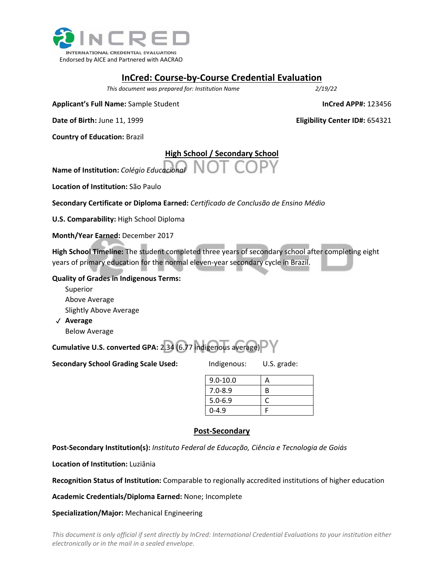

### **InCred: Course‐by‐Course Credential Evaluation**

*This document was prepared for: Institution Name 2/19/22*

**Applicant's Full Name:** Sample Student **InCred APP#:** 123456

**Date of Birth:** June 11, 1999 **Eligibility Center ID#:** 654321

**Country of Education:** Brazil

## **High School / Secondary School**

**Name of Institution:** *Colégio Educacional*

**Location of Institution:** São Paulo

**Secondary Certificate or Diploma Earned:** *Certificado de Conclusão de Ensino Médio*

**U.S. Comparability:** High School Diploma

**Month/Year Earned:** December 2017

**High School Timeline:** The student completed three years of secondary school after completing eight years of primary education for the normal eleven-year secondary cycle in Brazil.

#### **Quality of Grades in Indigenous Terms:**

 Superior Above Average Slightly Above Average

 ✓ **Average**  Below Average

**Cumulative U.S. converted GPA:** 2.34 (6.77 indigenous average)

**Secondary School Grading Scale Used:** Indigenous: U.S. grade:

| $9.0 - 10.0$ |   |
|--------------|---|
| $7.0 - 8.9$  | B |
| $5.0 - 6.9$  |   |
| $0 - 4.9$    |   |

#### **Post‐Secondary**

**Post‐Secondary Institution(s):** *Instituto Federal de Educação, Ciência e Tecnologia de Goiás*

**Location of Institution:** Luziânia

**Recognition Status of Institution:** Comparable to regionally accredited institutions of higher education

**Academic Credentials/Diploma Earned:** None; Incomplete

**Specialization/Major:** Mechanical Engineering

*This document is only official if sent directly by InCred: International Credential Evaluations to your institution either*  electronically or in the mail in a sealed envelope.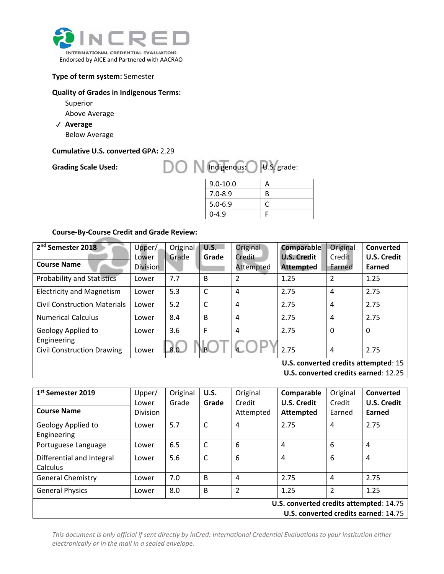

#### **Type of term system:** Semester

#### **Quality of Grades in Indigenous Terms:**

- Superior
- Above Average
- ✓ **Average**

**Below Average** 

#### **Cumulative U.S. converted GPA:** 2.29

Grading Scale Used: **DON** Indigenous: U.S. grade:

| $9.0 - 10.0$ |   |
|--------------|---|
| $7.0 - 8.9$  | B |
| $5.0 - 6.9$  |   |
| $0 - 4.9$    |   |

#### **Course‐By‐Course Credit and Grade Review:**

| 2 <sup>nd</sup> Semester 2018                                                 | Upper/                   | Original | <b>U.S.</b> | Original            | <b>Comparable</b>                      | Original         | Converted                    |
|-------------------------------------------------------------------------------|--------------------------|----------|-------------|---------------------|----------------------------------------|------------------|------------------------------|
| <b>Course Name</b>                                                            | Lower<br><b>Division</b> | Grade    | Grade       | Credit<br>Attempted | <b>U.S. Credit</b><br><b>Attempted</b> | Credit<br>Earned | <b>U.S. Credit</b><br>Earned |
| <b>Probability and Statistics</b>                                             | Lower                    | 7.7      | B           | $\mathcal{P}$       | 1.25                                   | $\overline{2}$   | 1.25                         |
| <b>Electricity and Magnetism</b>                                              | Lower                    | 5.3      | C           | $\overline{4}$      | 2.75                                   | 4                | 2.75                         |
| <b>Civil Construction Materials</b>                                           | Lower                    | 5.2      | C           | 4                   | 2.75                                   | 4                | 2.75                         |
| <b>Numerical Calculus</b>                                                     | Lower                    | 8.4      | B           | $\overline{4}$      | 2.75                                   | 4                | 2.75                         |
| Geology Applied to<br>Engineering                                             | Lower                    | 3.6      | F           | $\overline{4}$      | 2.75                                   | $\mathbf 0$      | 0                            |
| <b>Civil Construction Drawing</b>                                             | Lower                    | 8.0      | R           |                     | 2.75                                   | 4                | 2.75                         |
| $\mathbf{H} \mathbf{C}$ convented credits of temptad, $\mathbf{A} \mathbf{C}$ |                          |          |             |                     |                                        |                  |                              |

**U.S. converted credits attempted**: 15

**U.S. converted credits earned**: 12.25

| 1 <sup>st</sup> Semester 2019<br><b>Course Name</b>                             | Upper/<br>Lower<br>Division | Original<br>Grade | <b>U.S.</b><br>Grade | Original<br>Credit<br>Attempted | Comparable<br><b>U.S. Credit</b><br><b>Attempted</b> | Original<br>Credit<br>Earned | Converted<br>U.S. Credit<br>Earned |
|---------------------------------------------------------------------------------|-----------------------------|-------------------|----------------------|---------------------------------|------------------------------------------------------|------------------------------|------------------------------------|
| Geology Applied to<br>Engineering                                               | Lower                       | 5.7               | $\mathsf{C}$         | 4                               | 2.75                                                 | 4                            | 2.75                               |
| Portuguese Language                                                             | Lower                       | 6.5               | C                    | 6                               | 4                                                    | 6                            | 4                                  |
| Differential and Integral<br>Calculus                                           | Lower                       | 5.6               | $\mathsf{C}$         | 6                               | 4                                                    | 6                            | 4                                  |
| <b>General Chemistry</b>                                                        | Lower                       | 7.0               | B                    | 4                               | 2.75                                                 | 4                            | 2.75                               |
| <b>General Physics</b>                                                          | Lower                       | 8.0               | B                    | $\overline{2}$                  | 1.25                                                 | $\overline{2}$               | 1.25                               |
| U.S. converted credits attempted: 14.75<br>U.S. converted credits earned: 14.75 |                             |                   |                      |                                 |                                                      |                              |                                    |

*This document is only official if sent directly by InCred: International Credential Evaluations to your institution either*  electronically or in the mail in a sealed envelope.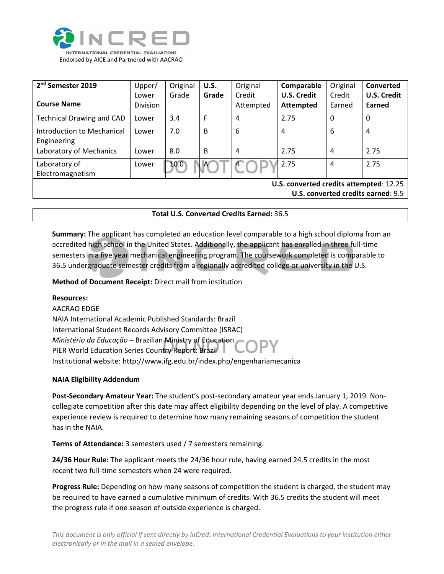

| 2 <sup>nd</sup> Semester 2019<br><b>Course Name</b>                           | Upper/<br>Lower<br><b>Division</b> | Original<br>Grade | <b>U.S.</b><br>Grade | Original<br>Credit<br>Attempted | Comparable<br><b>U.S. Credit</b><br><b>Attempted</b> | Original<br>Credit<br>Earned | Converted<br><b>U.S. Credit</b><br>Earned |  |
|-------------------------------------------------------------------------------|------------------------------------|-------------------|----------------------|---------------------------------|------------------------------------------------------|------------------------------|-------------------------------------------|--|
| <b>Technical Drawing and CAD</b>                                              | Lower                              | 3.4               | F                    | 4                               | 2.75                                                 | 0                            | $\Omega$                                  |  |
| Introduction to Mechanical<br>Engineering                                     | Lower                              | 7.0               | B                    | 6                               | 4                                                    | 6                            | 4                                         |  |
| Laboratory of Mechanics                                                       | Lower                              | 8.0               | B                    | 4                               | 2.75                                                 | 4                            | 2.75                                      |  |
| Laboratory of<br>Electromagnetism                                             | Lower                              | 10.0              | $\mathsf{A}$         |                                 | 2.75                                                 | 4                            | 2.75                                      |  |
| U.S. converted credits attempted: 12.25<br>U.S. converted credits earned: 9.5 |                                    |                   |                      |                                 |                                                      |                              |                                           |  |

#### **Total U.S. Converted Credits Earned:** 36.5

**Summary:** The applicant has completed an education level comparable to a high school diploma from an accredited high school in the United States. Additionally, the applicant has enrolled in three full‐time semesters in a five year mechanical engineering program. The coursework completed is comparable to 36.5 undergraduate semester credits from a regionally accredited college or university in the U.S.

**Method of Document Receipt:** Direct mail from institution

#### **Resources:**

#### AACRAO EDGE

NAIA International Academic Published Standards: Brazil International Student Records Advisory Committee (ISRAC) *Ministério da Educaҫão* – Brazilian Ministry of Education PIER World Education Series Country Report: Brazil Institutional website: http://www.ifg.edu.br/index.php/engenhariamecanica

#### **NAIA Eligibility Addendum**

**Post‐Secondary Amateur Year:** The student's post‐secondary amateur year ends January 1, 2019. Non‐ collegiate competition after this date may affect eligibility depending on the level of play. A competitive experience review is required to determine how many remaining seasons of competition the student has in the NAIA.

**Terms of Attendance:** 3 semesters used / 7 semesters remaining.

**24/36 Hour Rule:** The applicant meets the 24/36 hour rule, having earned 24.5 credits in the most recent two full-time semesters when 24 were required.

**Progress Rule:** Depending on how many seasons of competition the student is charged, the student may be required to have earned a cumulative minimum of credits. With 36.5 credits the student will meet the progress rule if one season of outside experience is charged.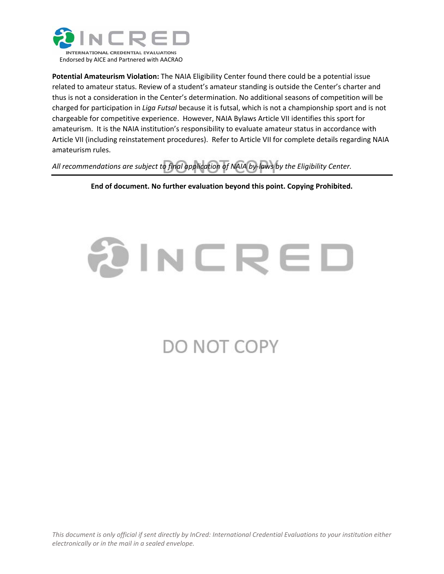

**Potential Amateurism Violation:** The NAIA Eligibility Center found there could be a potential issue related to amateur status. Review of a student's amateur standing is outside the Center's charter and thus is not a consideration in the Center's determination. No additional seasons of competition will be charged for participation in *Liga Futsal* because it is futsal, which is not a championship sport and is not chargeable for competitive experience. However, NAIA Bylaws Article VII identifies this sport for amateurism. It is the NAIA institution's responsibility to evaluate amateur status in accordance with Article VII (including reinstatement procedures). Refer to Article VII for complete details regarding NAIA amateurism rules.

*All recommendations are subject to final application of NAIA by‐laws by the Eligibility Center.*

**End of document. No further evaluation beyond this point. Copying Prohibited.**

# WERED

# DO NOT COPY